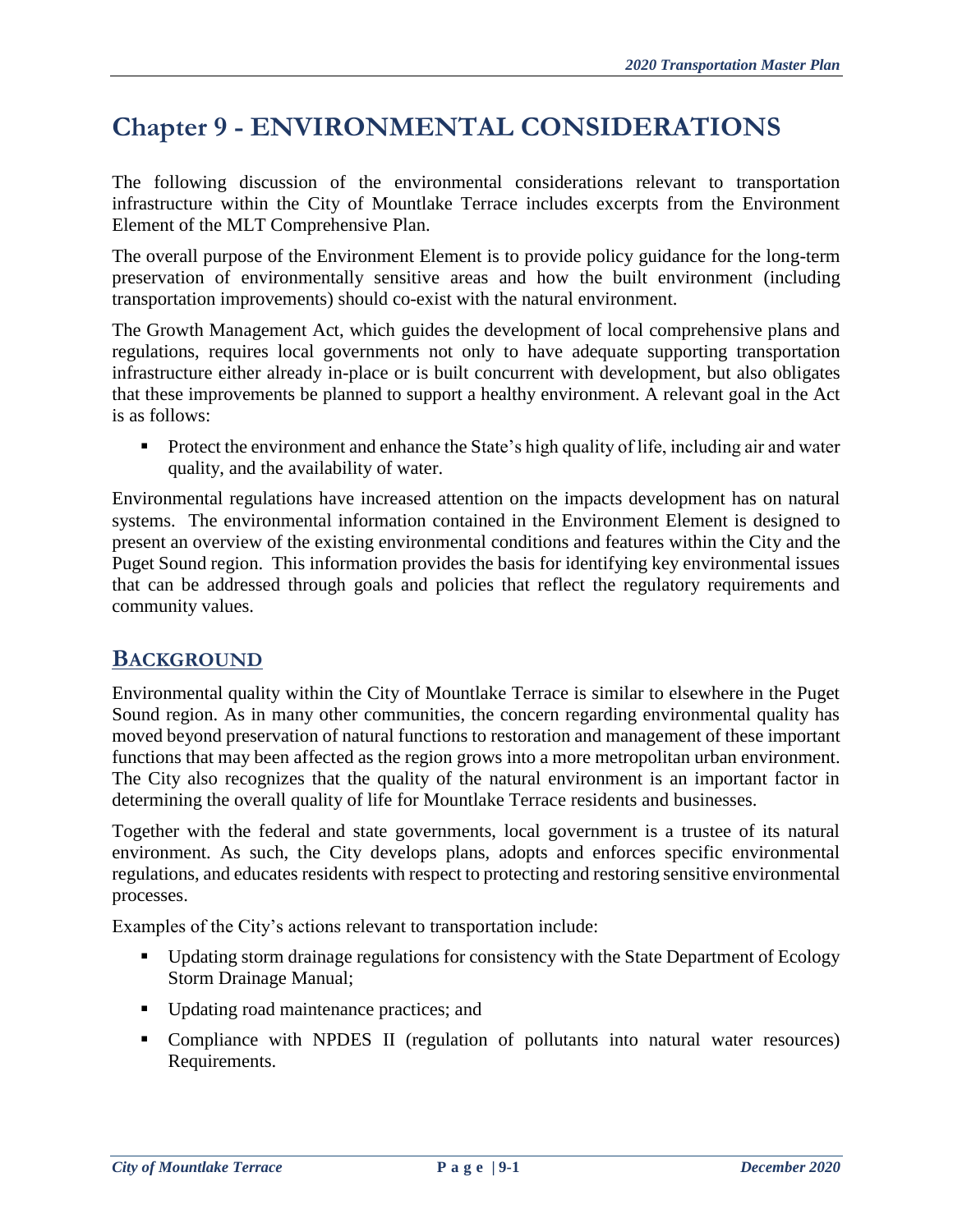# **Chapter 9 - ENVIRONMENTAL CONSIDERATIONS**

The following discussion of the environmental considerations relevant to transportation infrastructure within the City of Mountlake Terrace includes excerpts from the Environment Element of the MLT Comprehensive Plan.

The overall purpose of the Environment Element is to provide policy guidance for the long-term preservation of environmentally sensitive areas and how the built environment (including transportation improvements) should co-exist with the natural environment.

The Growth Management Act, which guides the development of local comprehensive plans and regulations, requires local governments not only to have adequate supporting transportation infrastructure either already in-place or is built concurrent with development, but also obligates that these improvements be planned to support a healthy environment. A relevant goal in the Act is as follows:

**Protect the environment and enhance the State's high quality of life, including air and water** quality, and the availability of water.

Environmental regulations have increased attention on the impacts development has on natural systems. The environmental information contained in the Environment Element is designed to present an overview of the existing environmental conditions and features within the City and the Puget Sound region. This information provides the basis for identifying key environmental issues that can be addressed through goals and policies that reflect the regulatory requirements and community values.

# **BACKGROUND**

Environmental quality within the City of Mountlake Terrace is similar to elsewhere in the Puget Sound region. As in many other communities, the concern regarding environmental quality has moved beyond preservation of natural functions to restoration and management of these important functions that may been affected as the region grows into a more metropolitan urban environment. The City also recognizes that the quality of the natural environment is an important factor in determining the overall quality of life for Mountlake Terrace residents and businesses.

Together with the federal and state governments, local government is a trustee of its natural environment. As such, the City develops plans, adopts and enforces specific environmental regulations, and educates residents with respect to protecting and restoring sensitive environmental processes.

Examples of the City's actions relevant to transportation include:

- Updating storm drainage regulations for consistency with the State Department of Ecology Storm Drainage Manual;
- Updating road maintenance practices; and
- Compliance with NPDES II (regulation of pollutants into natural water resources) Requirements.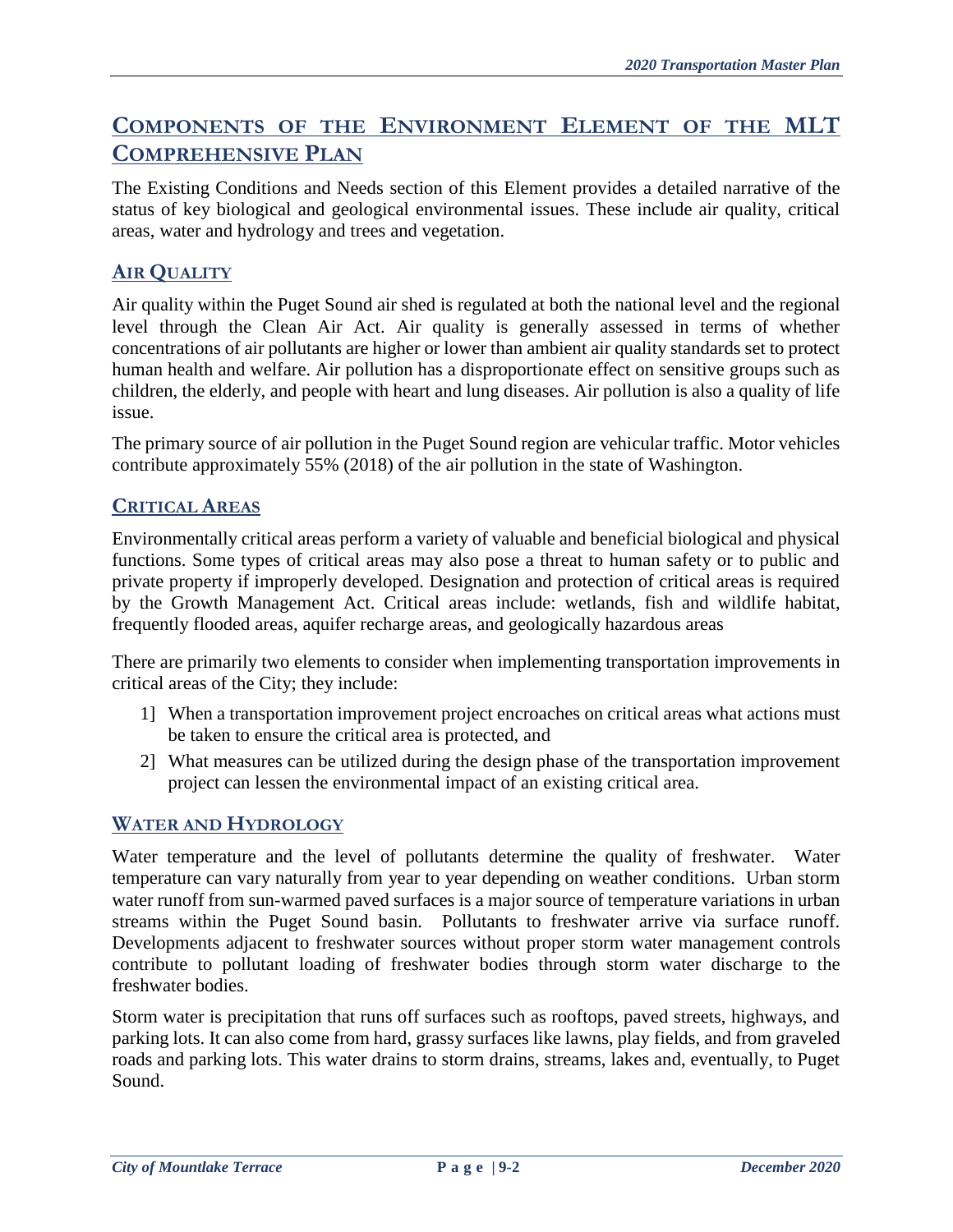# **COMPONENTS OF THE ENVIRONMENT ELEMENT OF THE MLT COMPREHENSIVE PLAN**

The Existing Conditions and Needs section of this Element provides a detailed narrative of the status of key biological and geological environmental issues. These include air quality, critical areas, water and hydrology and trees and vegetation.

# **AIR QUALITY**

Air quality within the Puget Sound air shed is regulated at both the national level and the regional level through the Clean Air Act. Air quality is generally assessed in terms of whether concentrations of air pollutants are higher or lower than ambient air quality standards set to protect human health and welfare. Air pollution has a disproportionate effect on sensitive groups such as children, the elderly, and people with heart and lung diseases. Air pollution is also a quality of life issue.

The primary source of air pollution in the Puget Sound region are vehicular traffic. Motor vehicles contribute approximately 55% (2018) of the air pollution in the state of Washington.

### **CRITICAL AREAS**

Environmentally critical areas perform a variety of valuable and beneficial biological and physical functions. Some types of critical areas may also pose a threat to human safety or to public and private property if improperly developed. Designation and protection of critical areas is required by the Growth Management Act. Critical areas include: wetlands, fish and wildlife habitat, frequently flooded areas, aquifer recharge areas, and geologically hazardous areas

There are primarily two elements to consider when implementing transportation improvements in critical areas of the City; they include:

- 1] When a transportation improvement project encroaches on critical areas what actions must be taken to ensure the critical area is protected, and
- 2] What measures can be utilized during the design phase of the transportation improvement project can lessen the environmental impact of an existing critical area.

#### **WATER AND HYDROLOGY**

Water temperature and the level of pollutants determine the quality of freshwater. Water temperature can vary naturally from year to year depending on weather conditions. Urban storm water runoff from sun-warmed paved surfaces is a major source of temperature variations in urban streams within the Puget Sound basin. Pollutants to freshwater arrive via surface runoff. Developments adjacent to freshwater sources without proper storm water management controls contribute to pollutant loading of freshwater bodies through storm water discharge to the freshwater bodies.

Storm water is precipitation that runs off surfaces such as rooftops, paved streets, highways, and parking lots. It can also come from hard, grassy surfaces like lawns, play fields, and from graveled roads and parking lots. This water drains to storm drains, streams, lakes and, eventually, to Puget Sound.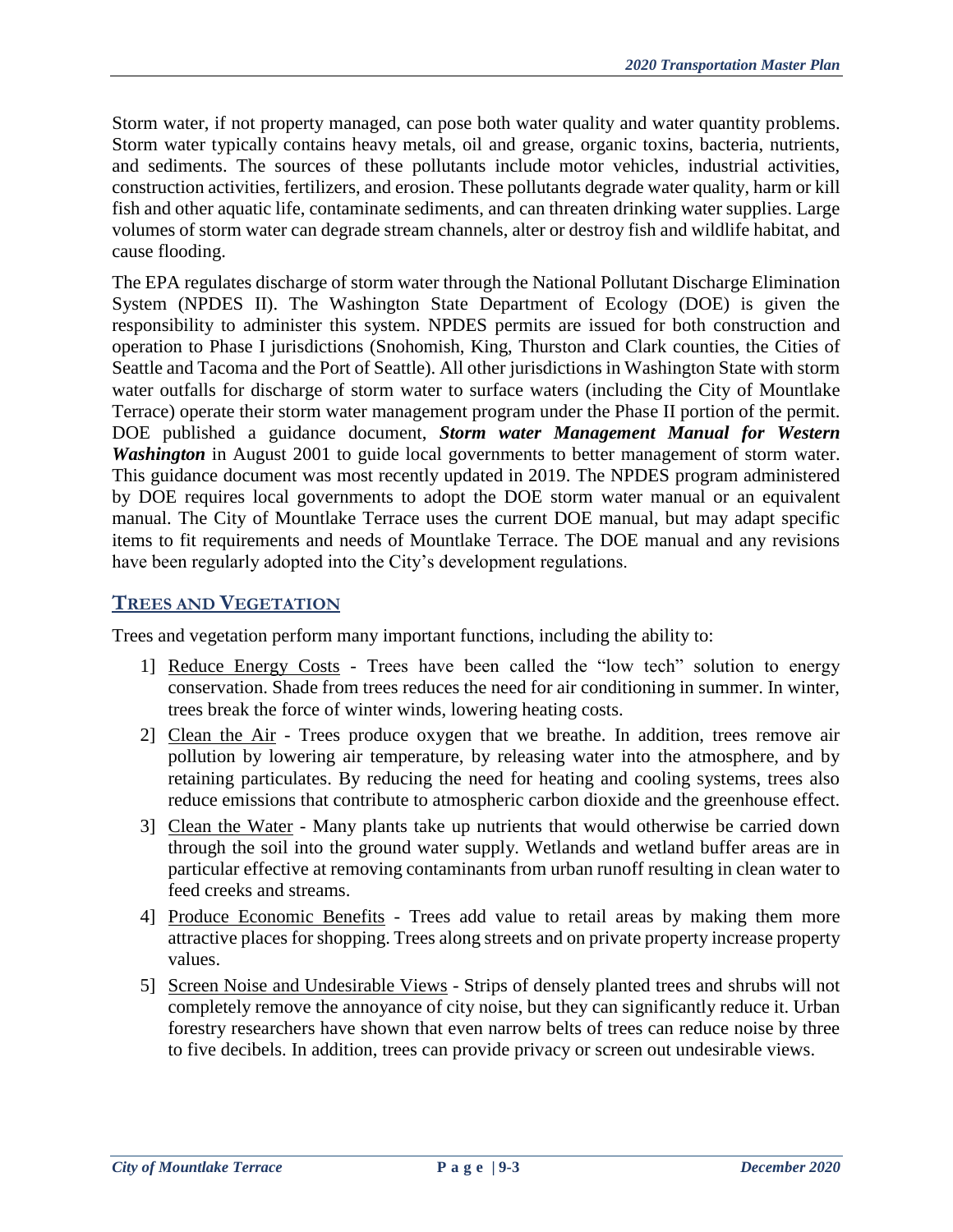Storm water, if not property managed, can pose both water quality and water quantity problems. Storm water typically contains heavy metals, oil and grease, organic toxins, bacteria, nutrients, and sediments. The sources of these pollutants include motor vehicles, industrial activities, construction activities, fertilizers, and erosion. These pollutants degrade water quality, harm or kill fish and other aquatic life, contaminate sediments, and can threaten drinking water supplies. Large volumes of storm water can degrade stream channels, alter or destroy fish and wildlife habitat, and cause flooding.

The EPA regulates discharge of storm water through the National Pollutant Discharge Elimination System (NPDES II). The Washington State Department of Ecology (DOE) is given the responsibility to administer this system. NPDES permits are issued for both construction and operation to Phase I jurisdictions (Snohomish, King, Thurston and Clark counties, the Cities of Seattle and Tacoma and the Port of Seattle). All other jurisdictions in Washington State with storm water outfalls for discharge of storm water to surface waters (including the City of Mountlake Terrace) operate their storm water management program under the Phase II portion of the permit. DOE published a guidance document, *Storm water Management Manual for Western Washington* in August 2001 to guide local governments to better management of storm water. This guidance document was most recently updated in 2019. The NPDES program administered by DOE requires local governments to adopt the DOE storm water manual or an equivalent manual. The City of Mountlake Terrace uses the current DOE manual, but may adapt specific items to fit requirements and needs of Mountlake Terrace. The DOE manual and any revisions have been regularly adopted into the City's development regulations.

### **TREES AND VEGETATION**

Trees and vegetation perform many important functions, including the ability to:

- 1] Reduce Energy Costs Trees have been called the "low tech" solution to energy conservation. Shade from trees reduces the need for air conditioning in summer. In winter, trees break the force of winter winds, lowering heating costs.
- 2] Clean the Air Trees produce oxygen that we breathe. In addition, trees remove air pollution by lowering air temperature, by releasing water into the atmosphere, and by retaining particulates. By reducing the need for heating and cooling systems, trees also reduce emissions that contribute to atmospheric carbon dioxide and the greenhouse effect.
- 3] Clean the Water Many plants take up nutrients that would otherwise be carried down through the soil into the ground water supply. Wetlands and wetland buffer areas are in particular effective at removing contaminants from urban runoff resulting in clean water to feed creeks and streams.
- 4] Produce Economic Benefits Trees add value to retail areas by making them more attractive places for shopping. Trees along streets and on private property increase property values.
- 5] Screen Noise and Undesirable Views Strips of densely planted trees and shrubs will not completely remove the annoyance of city noise, but they can significantly reduce it. Urban forestry researchers have shown that even narrow belts of trees can reduce noise by three to five decibels. In addition, trees can provide privacy or screen out undesirable views.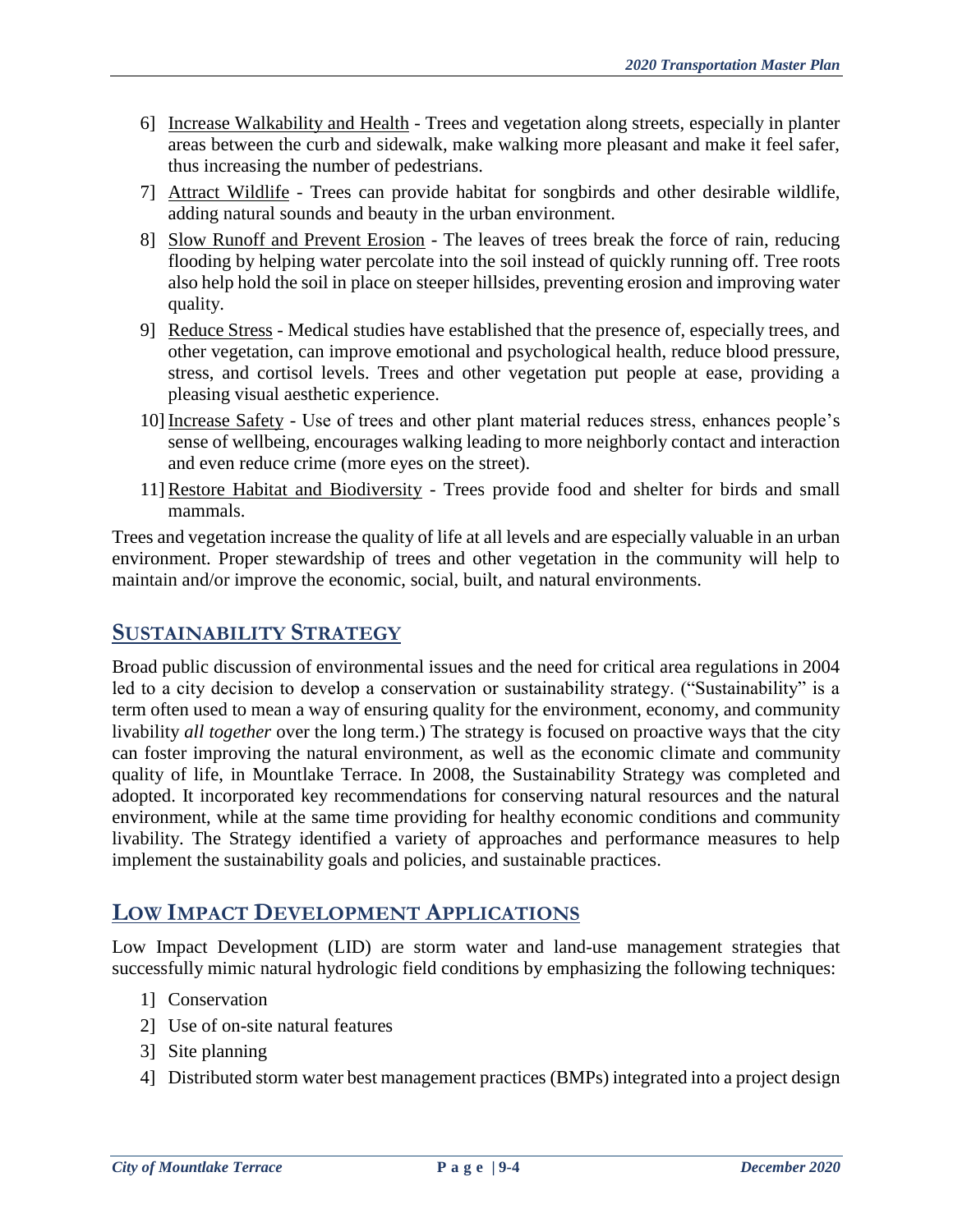- 6] Increase Walkability and Health Trees and vegetation along streets, especially in planter areas between the curb and sidewalk, make walking more pleasant and make it feel safer, thus increasing the number of pedestrians.
- 7] Attract Wildlife Trees can provide habitat for songbirds and other desirable wildlife, adding natural sounds and beauty in the urban environment.
- 8] Slow Runoff and Prevent Erosion The leaves of trees break the force of rain, reducing flooding by helping water percolate into the soil instead of quickly running off. Tree roots also help hold the soil in place on steeper hillsides, preventing erosion and improving water quality.
- 9] Reduce Stress Medical studies have established that the presence of, especially trees, and other vegetation, can improve emotional and psychological health, reduce blood pressure, stress, and cortisol levels. Trees and other vegetation put people at ease, providing a pleasing visual aesthetic experience.
- 10] Increase Safety Use of trees and other plant material reduces stress, enhances people's sense of wellbeing, encourages walking leading to more neighborly contact and interaction and even reduce crime (more eyes on the street).
- 11]Restore Habitat and Biodiversity Trees provide food and shelter for birds and small mammals.

Trees and vegetation increase the quality of life at all levels and are especially valuable in an urban environment. Proper stewardship of trees and other vegetation in the community will help to maintain and/or improve the economic, social, built, and natural environments.

# **SUSTAINABILITY STRATEGY**

Broad public discussion of environmental issues and the need for critical area regulations in 2004 led to a city decision to develop a conservation or sustainability strategy. ("Sustainability" is a term often used to mean a way of ensuring quality for the environment, economy, and community livability *all together* over the long term.) The strategy is focused on proactive ways that the city can foster improving the natural environment, as well as the economic climate and community quality of life, in Mountlake Terrace. In 2008, the Sustainability Strategy was completed and adopted. It incorporated key recommendations for conserving natural resources and the natural environment, while at the same time providing for healthy economic conditions and community livability. The Strategy identified a variety of approaches and performance measures to help implement the sustainability goals and policies, and sustainable practices.

# **LOW IMPACT DEVELOPMENT APPLICATIONS**

Low Impact Development (LID) are storm water and land-use management strategies that successfully mimic natural hydrologic field conditions by emphasizing the following techniques:

- 1] Conservation
- 2] Use of on-site natural features
- 3] Site planning
- 4] Distributed storm water best management practices (BMPs) integrated into a project design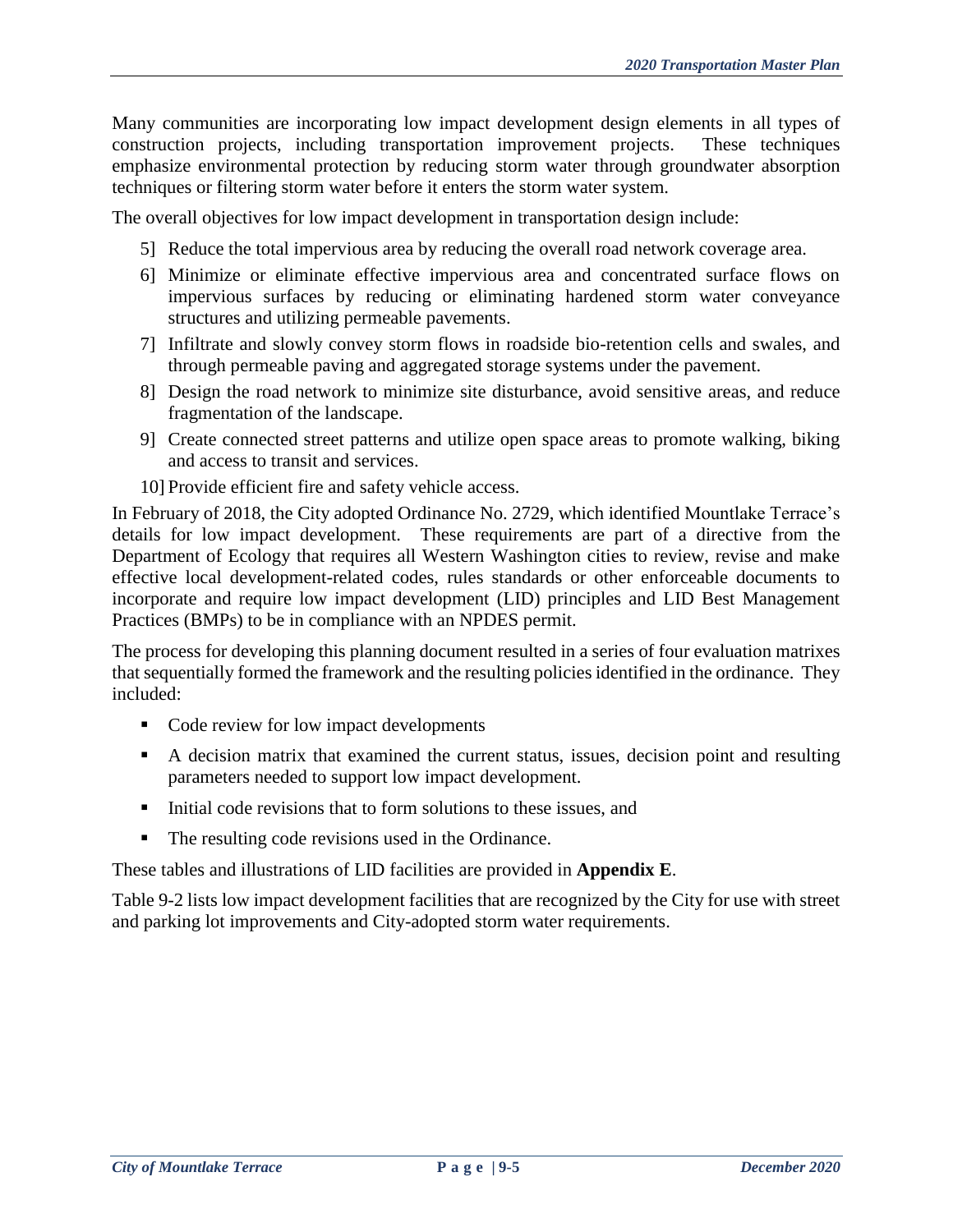Many communities are incorporating low impact development design elements in all types of construction projects, including transportation improvement projects. These techniques emphasize environmental protection by reducing storm water through groundwater absorption techniques or filtering storm water before it enters the storm water system.

The overall objectives for low impact development in transportation design include:

- 5] Reduce the total impervious area by reducing the overall road network coverage area.
- 6] Minimize or eliminate effective impervious area and concentrated surface flows on impervious surfaces by reducing or eliminating hardened storm water conveyance structures and utilizing permeable pavements.
- 7] Infiltrate and slowly convey storm flows in roadside bio-retention cells and swales, and through permeable paving and aggregated storage systems under the pavement.
- 8] Design the road network to minimize site disturbance, avoid sensitive areas, and reduce fragmentation of the landscape.
- 9] Create connected street patterns and utilize open space areas to promote walking, biking and access to transit and services.
- 10] Provide efficient fire and safety vehicle access.

In February of 2018, the City adopted Ordinance No. 2729, which identified Mountlake Terrace's details for low impact development. These requirements are part of a directive from the Department of Ecology that requires all Western Washington cities to review, revise and make effective local development-related codes, rules standards or other enforceable documents to incorporate and require low impact development (LID) principles and LID Best Management Practices (BMPs) to be in compliance with an NPDES permit.

The process for developing this planning document resulted in a series of four evaluation matrixes that sequentially formed the framework and the resulting policies identified in the ordinance. They included:

- Code review for low impact developments
- A decision matrix that examined the current status, issues, decision point and resulting parameters needed to support low impact development.
- $\blacksquare$  Initial code revisions that to form solutions to these issues, and
- The resulting code revisions used in the Ordinance.

These tables and illustrations of LID facilities are provided in **Appendix E**.

Table 9-2 lists low impact development facilities that are recognized by the City for use with street and parking lot improvements and City-adopted storm water requirements.